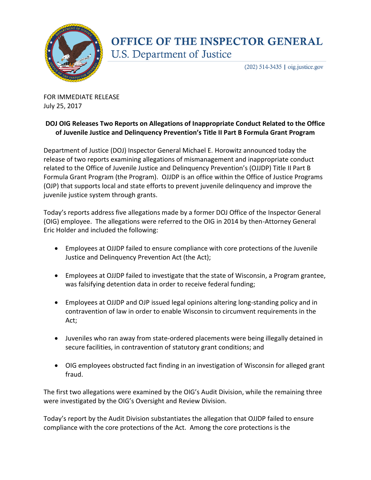

## **OFFICE OF THE INSPECTOR GENERAL U.S. Department of Justice**

 $(202)$  514-3435 | oig.justice.gov

FOR IMMEDIATE RELEASE July 25, 2017

## **DOJ OIG Releases Two Reports on Allegations of Inappropriate Conduct Related to the Office of Juvenile Justice and Delinquency Prevention's Title II Part B Formula Grant Program**

Department of Justice (DOJ) Inspector General Michael E. Horowitz announced today the release of two reports examining allegations of mismanagement and inappropriate conduct related to the Office of Juvenile Justice and Delinquency Prevention's (OJJDP) Title II Part B Formula Grant Program (the Program). OJJDP is an office within the Office of Justice Programs (OJP) that supports local and state efforts to prevent juvenile delinquency and improve the juvenile justice system through grants.

Today's reports address five allegations made by a former DOJ Office of the Inspector General (OIG) employee. The allegations were referred to the OIG in 2014 by then-Attorney General Eric Holder and included the following:

- Employees at OJJDP failed to ensure compliance with core protections of the Juvenile Justice and Delinquency Prevention Act (the Act);
- Employees at OJJDP failed to investigate that the state of Wisconsin, a Program grantee, was falsifying detention data in order to receive federal funding;
- Employees at OJJDP and OJP issued legal opinions altering long-standing policy and in contravention of law in order to enable Wisconsin to circumvent requirements in the Act;
- Juveniles who ran away from state-ordered placements were being illegally detained in secure facilities, in contravention of statutory grant conditions; and
- OIG employees obstructed fact finding in an investigation of Wisconsin for alleged grant fraud.

The first two allegations were examined by the OIG's Audit Division, while the remaining three were investigated by the OIG's Oversight and Review Division.

Today's report by the Audit Division substantiates the allegation that OJJDP failed to ensure compliance with the core protections of the Act. Among the core protections is the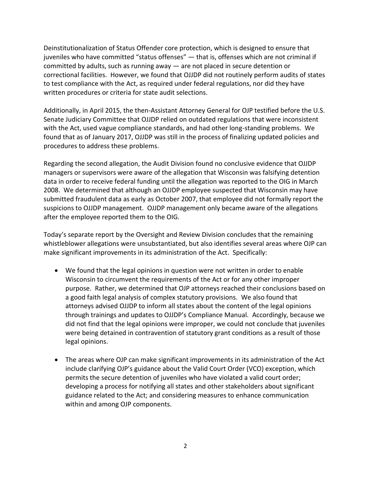Deinstitutionalization of Status Offender core protection, which is designed to ensure that juveniles who have committed "status offenses" — that is, offenses which are not criminal if committed by adults, such as running away — are not placed in secure detention or correctional facilities. However, we found that OJJDP did not routinely perform audits of states to test compliance with the Act, as required under federal regulations, nor did they have written procedures or criteria for state audit selections.

Additionally, in April 2015, the then-Assistant Attorney General for OJP testified before the U.S. Senate Judiciary Committee that OJJDP relied on outdated regulations that were inconsistent with the Act, used vague compliance standards, and had other long-standing problems. We found that as of January 2017, OJJDP was still in the process of finalizing updated policies and procedures to address these problems.

Regarding the second allegation, the Audit Division found no conclusive evidence that OJJDP managers or supervisors were aware of the allegation that Wisconsin was falsifying detention data in order to receive federal funding until the allegation was reported to the OIG in March 2008. We determined that although an OJJDP employee suspected that Wisconsin may have submitted fraudulent data as early as October 2007, that employee did not formally report the suspicions to OJJDP management. OJJDP management only became aware of the allegations after the employee reported them to the OIG.

Today's separate report by the Oversight and Review Division concludes that the remaining whistleblower allegations were unsubstantiated, but also identifies several areas where OJP can make significant improvements in its administration of the Act. Specifically:

- We found that the legal opinions in question were not written in order to enable Wisconsin to circumvent the requirements of the Act or for any other improper purpose. Rather, we determined that OJP attorneys reached their conclusions based on a good faith legal analysis of complex statutory provisions. We also found that attorneys advised OJJDP to inform all states about the content of the legal opinions through trainings and updates to OJJDP's Compliance Manual. Accordingly, because we did not find that the legal opinions were improper, we could not conclude that juveniles were being detained in contravention of statutory grant conditions as a result of those legal opinions.
- The areas where OJP can make significant improvements in its administration of the Act include clarifying OJP's guidance about the Valid Court Order (VCO) exception, which permits the secure detention of juveniles who have violated a valid court order; developing a process for notifying all states and other stakeholders about significant guidance related to the Act; and considering measures to enhance communication within and among OJP components.